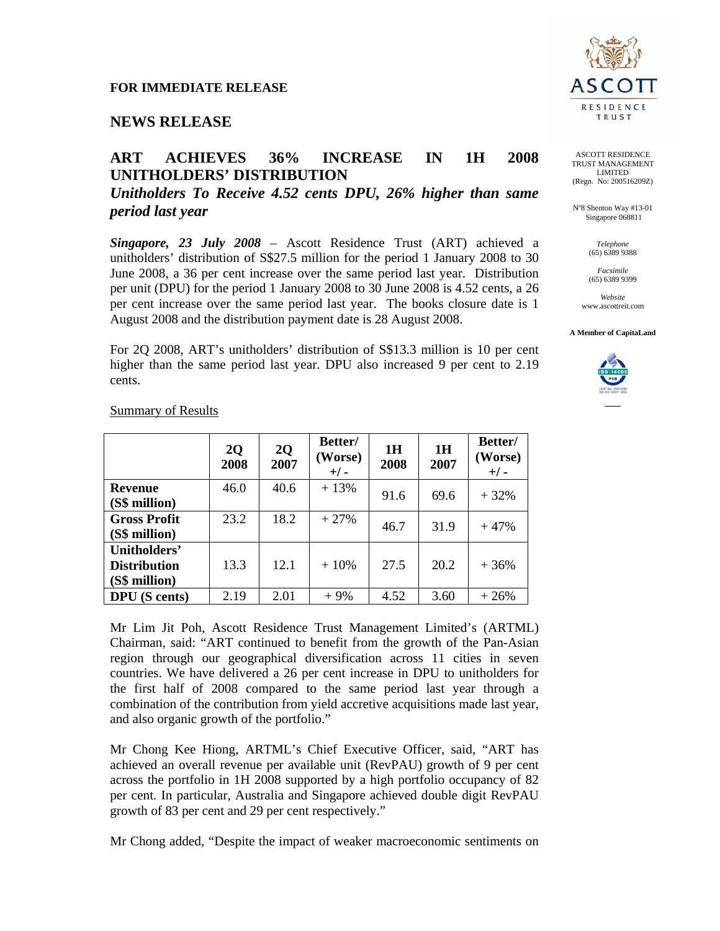# **NEWS RELEASE**

## **ART ACHIEVES 36% INCREASE IN 1H 2008 UNITHOLDERS' DISTRIBUTION**

*Unitholders To Receive 4.52 cents DPU, 26% higher than same period last year* 

*Singapore, 23 July 2008* – Ascott Residence Trust (ART) achieved a unitholders' distribution of S\$27.5 million for the period 1 January 2008 to 30 June 2008, a 36 per cent increase over the same period last year. Distribution per unit (DPU) for the period 1 January 2008 to 30 June 2008 is 4.52 cents, a 26 per cent increase over the same period last year. The books closure date is 1 August 2008 and the distribution payment date is 28 August 2008.

For 2Q 2008, ART's unitholders' distribution of S\$13.3 million is 10 per cent higher than the same period last year. DPU also increased 9 per cent to 2.19 cents.

|                                                      | 2Q<br>2008 | 2Q<br>2007 | Better/<br>(Worse)<br>$+/-$ | 1H<br>2008 | 1H<br>2007 | Better/<br>(Worse)<br>$+/-$ |
|------------------------------------------------------|------------|------------|-----------------------------|------------|------------|-----------------------------|
| <b>Revenue</b><br>(S\$ million)                      | 46.0       | 40.6       | $+13%$                      | 91.6       | 69.6       | $+32%$                      |
| <b>Gross Profit</b><br>(S\$ million)                 | 23.2       | 18.2       | $+27%$                      | 46.7       | 31.9       | $+47%$                      |
| Unitholders'<br><b>Distribution</b><br>(S\$ million) | 13.3       | 12.1       | $+10%$                      | 27.5       | 20.2       | $+36%$                      |
| <b>DPU</b> (S cents)                                 | 2.19       | 2.01       | $+9%$                       | 4.52       | 3.60       | $+26%$                      |

Summary of Results

Mr Lim Jit Poh, Ascott Residence Trust Management Limited's (ARTML) Chairman, said: "ART continued to benefit from the growth of the Pan-Asian region through our geographical diversification across 11 cities in seven countries. We have delivered a 26 per cent increase in DPU to unitholders for the first half of 2008 compared to the same period last year through a combination of the contribution from yield accretive acquisitions made last year, and also organic growth of the portfolio."

Mr Chong Kee Hiong, ARTML's Chief Executive Officer, said, "ART has achieved an overall revenue per available unit (RevPAU) growth of 9 per cent across the portfolio in 1H 2008 supported by a high portfolio occupancy of 82 per cent. In particular, Australia and Singapore achieved double digit RevPAU growth of 83 per cent and 29 per cent respectively."

Mr Chong added, "Despite the impact of weaker macroeconomic sentiments on



ASCOTT RESIDENCE TRUST MANAGEMENT LIMITED (Regn. No: 200516209Z)

No 8 Shenton Way #13-01 Singapore 068811

> *Telephone*  (65) 6389 9388

*Facsimile*  (65) 6389 9399

*Website*  www.ascottreit.com

**A Member of CapitaLand**